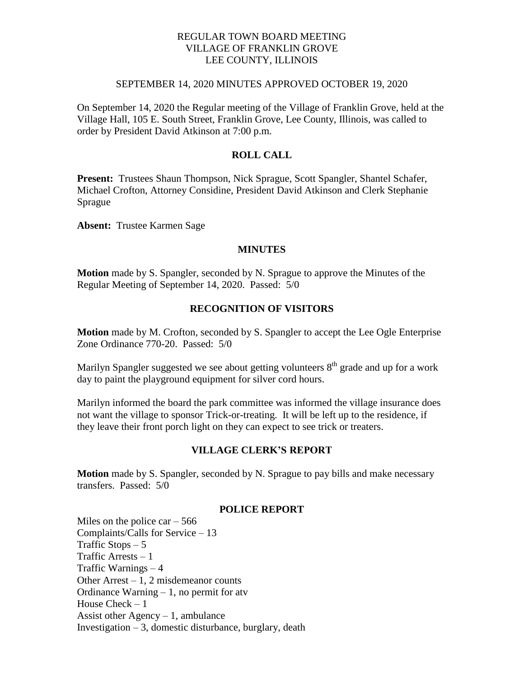# REGULAR TOWN BOARD MEETING VILLAGE OF FRANKLIN GROVE LEE COUNTY, ILLINOIS

#### SEPTEMBER 14, 2020 MINUTES APPROVED OCTOBER 19, 2020

On September 14, 2020 the Regular meeting of the Village of Franklin Grove, held at the Village Hall, 105 E. South Street, Franklin Grove, Lee County, Illinois, was called to order by President David Atkinson at 7:00 p.m.

# **ROLL CALL**

**Present:** Trustees Shaun Thompson, Nick Sprague, Scott Spangler, Shantel Schafer, Michael Crofton, Attorney Considine, President David Atkinson and Clerk Stephanie Sprague

**Absent:** Trustee Karmen Sage

#### **MINUTES**

**Motion** made by S. Spangler, seconded by N. Sprague to approve the Minutes of the Regular Meeting of September 14, 2020. Passed: 5/0

### **RECOGNITION OF VISITORS**

**Motion** made by M. Crofton, seconded by S. Spangler to accept the Lee Ogle Enterprise Zone Ordinance 770-20. Passed: 5/0

Marilyn Spangler suggested we see about getting volunteers  $8<sup>th</sup>$  grade and up for a work day to paint the playground equipment for silver cord hours.

Marilyn informed the board the park committee was informed the village insurance does not want the village to sponsor Trick-or-treating. It will be left up to the residence, if they leave their front porch light on they can expect to see trick or treaters.

### **VILLAGE CLERK'S REPORT**

**Motion** made by S. Spangler, seconded by N. Sprague to pay bills and make necessary transfers. Passed: 5/0

## **POLICE REPORT**

Miles on the police  $car - 566$ Complaints/Calls for Service – 13 Traffic Stops  $-5$ Traffic Arrests – 1 Traffic Warnings – 4 Other Arrest – 1, 2 misdemeanor counts Ordinance Warning  $-1$ , no permit for atv House Check – 1 Assist other Agency  $-1$ , ambulance Investigation  $-3$ , domestic disturbance, burglary, death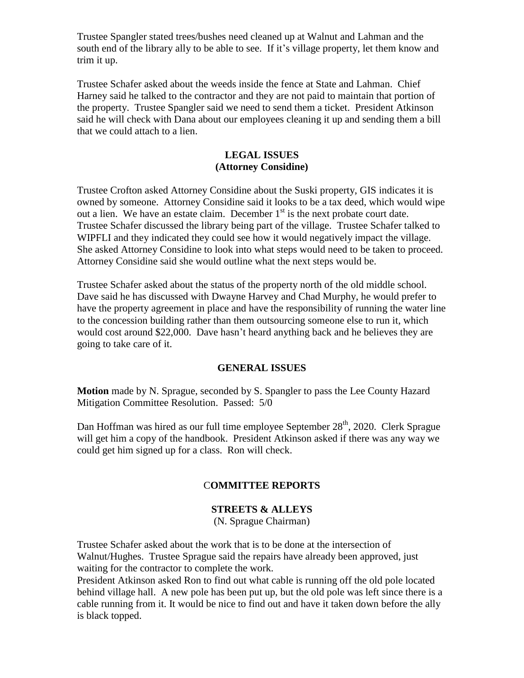Trustee Spangler stated trees/bushes need cleaned up at Walnut and Lahman and the south end of the library ally to be able to see. If it's village property, let them know and trim it up.

Trustee Schafer asked about the weeds inside the fence at State and Lahman. Chief Harney said he talked to the contractor and they are not paid to maintain that portion of the property. Trustee Spangler said we need to send them a ticket. President Atkinson said he will check with Dana about our employees cleaning it up and sending them a bill that we could attach to a lien.

# **LEGAL ISSUES (Attorney Considine)**

Trustee Crofton asked Attorney Considine about the Suski property, GIS indicates it is owned by someone. Attorney Considine said it looks to be a tax deed, which would wipe out a lien. We have an estate claim. December  $1<sup>st</sup>$  is the next probate court date. Trustee Schafer discussed the library being part of the village. Trustee Schafer talked to WIPFLI and they indicated they could see how it would negatively impact the village. She asked Attorney Considine to look into what steps would need to be taken to proceed. Attorney Considine said she would outline what the next steps would be.

Trustee Schafer asked about the status of the property north of the old middle school. Dave said he has discussed with Dwayne Harvey and Chad Murphy, he would prefer to have the property agreement in place and have the responsibility of running the water line to the concession building rather than them outsourcing someone else to run it, which would cost around \$22,000. Dave hasn't heard anything back and he believes they are going to take care of it.

# **GENERAL ISSUES**

**Motion** made by N. Sprague, seconded by S. Spangler to pass the Lee County Hazard Mitigation Committee Resolution. Passed: 5/0

Dan Hoffman was hired as our full time employee September 28<sup>th</sup>, 2020. Clerk Sprague will get him a copy of the handbook. President Atkinson asked if there was any way we could get him signed up for a class. Ron will check.

# C**OMMITTEE REPORTS**

# **STREETS & ALLEYS**

(N. Sprague Chairman)

Trustee Schafer asked about the work that is to be done at the intersection of Walnut/Hughes. Trustee Sprague said the repairs have already been approved, just waiting for the contractor to complete the work.

President Atkinson asked Ron to find out what cable is running off the old pole located behind village hall. A new pole has been put up, but the old pole was left since there is a cable running from it. It would be nice to find out and have it taken down before the ally is black topped.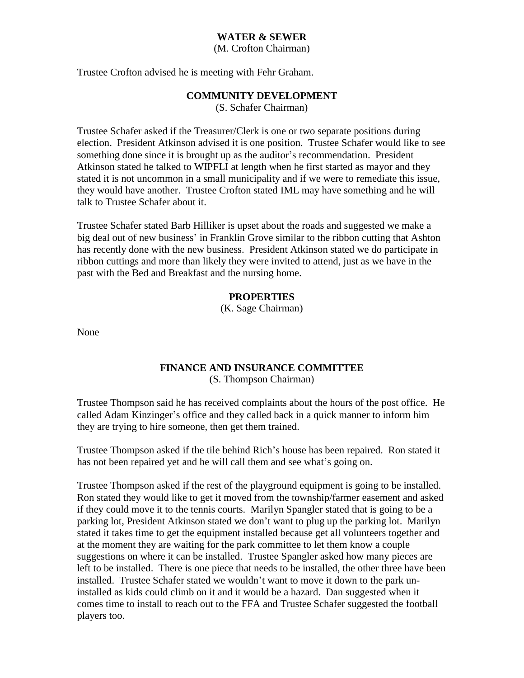## **WATER & SEWER**

(M. Crofton Chairman)

Trustee Crofton advised he is meeting with Fehr Graham.

### **COMMUNITY DEVELOPMENT**

(S. Schafer Chairman)

Trustee Schafer asked if the Treasurer/Clerk is one or two separate positions during election. President Atkinson advised it is one position. Trustee Schafer would like to see something done since it is brought up as the auditor's recommendation. President Atkinson stated he talked to WIPFLI at length when he first started as mayor and they stated it is not uncommon in a small municipality and if we were to remediate this issue, they would have another. Trustee Crofton stated IML may have something and he will talk to Trustee Schafer about it.

Trustee Schafer stated Barb Hilliker is upset about the roads and suggested we make a big deal out of new business' in Franklin Grove similar to the ribbon cutting that Ashton has recently done with the new business. President Atkinson stated we do participate in ribbon cuttings and more than likely they were invited to attend, just as we have in the past with the Bed and Breakfast and the nursing home.

### **PROPERTIES**

(K. Sage Chairman)

None

# **FINANCE AND INSURANCE COMMITTEE**

(S. Thompson Chairman)

Trustee Thompson said he has received complaints about the hours of the post office. He called Adam Kinzinger's office and they called back in a quick manner to inform him they are trying to hire someone, then get them trained.

Trustee Thompson asked if the tile behind Rich's house has been repaired. Ron stated it has not been repaired yet and he will call them and see what's going on.

Trustee Thompson asked if the rest of the playground equipment is going to be installed. Ron stated they would like to get it moved from the township/farmer easement and asked if they could move it to the tennis courts. Marilyn Spangler stated that is going to be a parking lot, President Atkinson stated we don't want to plug up the parking lot. Marilyn stated it takes time to get the equipment installed because get all volunteers together and at the moment they are waiting for the park committee to let them know a couple suggestions on where it can be installed. Trustee Spangler asked how many pieces are left to be installed. There is one piece that needs to be installed, the other three have been installed. Trustee Schafer stated we wouldn't want to move it down to the park uninstalled as kids could climb on it and it would be a hazard. Dan suggested when it comes time to install to reach out to the FFA and Trustee Schafer suggested the football players too.